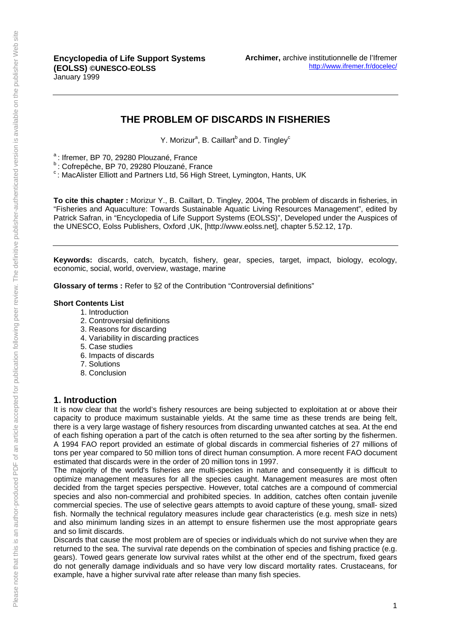## **THE PROBLEM OF DISCARDS IN FISHERIES**

Y. Morizur<sup>a</sup>, B. Caillart<sup>b</sup> and D. Tingley<sup>c</sup>

<sup>a</sup>: Ifremer, BP 70, 29280 Plouzané, France

**b** : Cofrepêche, BP 70, 29280 Plouzané, France

 $c$ : MacAlister Elliott and Partners Ltd, 56 High Street, Lymington, Hants, UK

**To cite this chapter :** Morizur Y., B. Caillart, D. Tingley, 2004, The problem of discards in fisheries, in "Fisheries and Aquaculture: Towards Sustainable Aquatic Living Resources Management", edited by Patrick Safran, in "Encyclopedia of Life Support Systems (EOLSS)", Developed under the Auspices of the UNESCO, Eolss Publishers, Oxford ,UK, [http://www.eolss.net], chapter 5.52.12, 17p.

**Keywords:** discards, catch, bycatch, fishery, gear, species, target, impact, biology, ecology, economic, social, world, overview, wastage, marine

**Glossary of terms :** Refer to §2 of the Contribution "Controversial definitions"

#### **Short Contents List**

- 1. Introduction
- 2. Controversial definitions
- 3. Reasons for discarding
- 4. Variability in discarding practices
- 5. Case studies
- 6. Impacts of discards
- 7. Solutions
- 8. Conclusion

#### **1. Introduction**

It is now clear that the world's fishery resources are being subjected to exploitation at or above their capacity to produce maximum sustainable yields. At the same time as these trends are being felt, there is a very large wastage of fishery resources from discarding unwanted catches at sea. At the end of each fishing operation a part of the catch is often returned to the sea after sorting by the fishermen. A 1994 FAO report provided an estimate of global discards in commercial fisheries of 27 millions of tons per year compared to 50 million tons of direct human consumption. A more recent FAO document estimated that discards were in the order of 20 million tons in 1997.

The majority of the world's fisheries are multi-species in nature and consequently it is difficult to optimize management measures for all the species caught. Management measures are most often decided from the target species perspective. However, total catches are a compound of commercial species and also non-commercial and prohibited species. In addition, catches often contain juvenile commercial species. The use of selective gears attempts to avoid capture of these young, small- sized fish. Normally the technical regulatory measures include gear characteristics (e.g. mesh size in nets) and also minimum landing sizes in an attempt to ensure fishermen use the most appropriate gears and so limit discards.

Discards that cause the most problem are of species or individuals which do not survive when they are returned to the sea. The survival rate depends on the combination of species and fishing practice (e.g. gears). Towed gears generate low survival rates whilst at the other end of the spectrum, fixed gears do not generally damage individuals and so have very low discard mortality rates. Crustaceans, for example, have a higher survival rate after release than many fish species.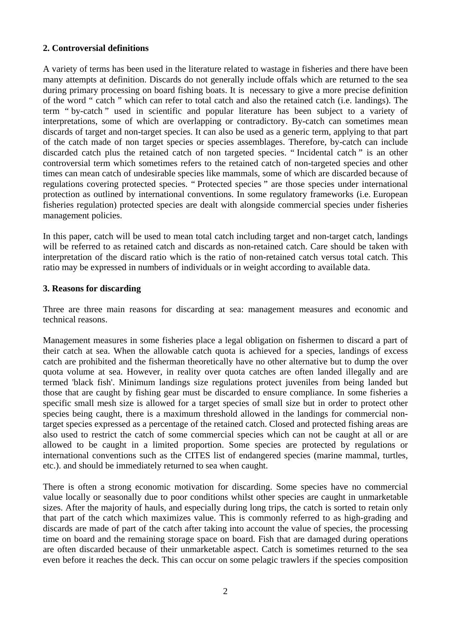#### **2. Controversial definitions**

A variety of terms has been used in the literature related to wastage in fisheries and there have been many attempts at definition. Discards do not generally include offals which are returned to the sea during primary processing on board fishing boats. It is necessary to give a more precise definition of the word " catch " which can refer to total catch and also the retained catch (i.e. landings). The term " by-catch " used in scientific and popular literature has been subject to a variety of interpretations, some of which are overlapping or contradictory. By-catch can sometimes mean discards of target and non-target species. It can also be used as a generic term, applying to that part of the catch made of non target species or species assemblages. Therefore, by-catch can include discarded catch plus the retained catch of non targeted species. " Incidental catch " is an other controversial term which sometimes refers to the retained catch of non-targeted species and other times can mean catch of undesirable species like mammals, some of which are discarded because of regulations covering protected species. " Protected species " are those species under international protection as outlined by international conventions. In some regulatory frameworks (i.e. European fisheries regulation) protected species are dealt with alongside commercial species under fisheries management policies.

In this paper, catch will be used to mean total catch including target and non-target catch, landings will be referred to as retained catch and discards as non-retained catch. Care should be taken with interpretation of the discard ratio which is the ratio of non-retained catch versus total catch. This ratio may be expressed in numbers of individuals or in weight according to available data.

#### **3. Reasons for discarding**

Three are three main reasons for discarding at sea: management measures and economic and technical reasons.

Management measures in some fisheries place a legal obligation on fishermen to discard a part of their catch at sea. When the allowable catch quota is achieved for a species, landings of excess catch are prohibited and the fisherman theoretically have no other alternative but to dump the over quota volume at sea. However, in reality over quota catches are often landed illegally and are termed 'black fish'. Minimum landings size regulations protect juveniles from being landed but those that are caught by fishing gear must be discarded to ensure compliance. In some fisheries a specific small mesh size is allowed for a target species of small size but in order to protect other species being caught, there is a maximum threshold allowed in the landings for commercial nontarget species expressed as a percentage of the retained catch. Closed and protected fishing areas are also used to restrict the catch of some commercial species which can not be caught at all or are allowed to be caught in a limited proportion. Some species are protected by regulations or international conventions such as the CITES list of endangered species (marine mammal, turtles, etc.). and should be immediately returned to sea when caught.

There is often a strong economic motivation for discarding. Some species have no commercial value locally or seasonally due to poor conditions whilst other species are caught in unmarketable sizes. After the majority of hauls, and especially during long trips, the catch is sorted to retain only that part of the catch which maximizes value. This is commonly referred to as high-grading and discards are made of part of the catch after taking into account the value of species, the processing time on board and the remaining storage space on board. Fish that are damaged during operations are often discarded because of their unmarketable aspect. Catch is sometimes returned to the sea even before it reaches the deck. This can occur on some pelagic trawlers if the species composition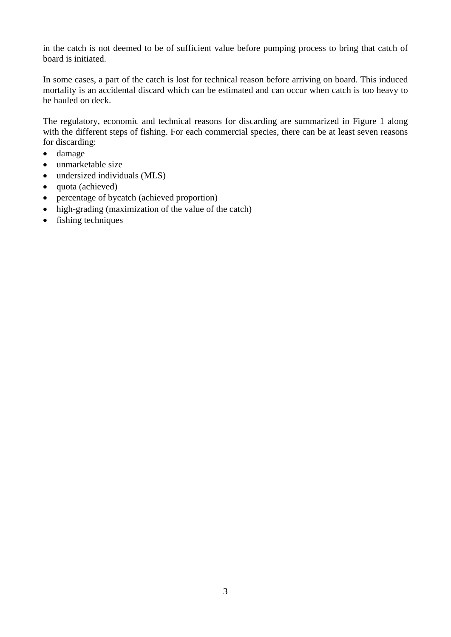in the catch is not deemed to be of sufficient value before pumping process to bring that catch of board is initiated.

In some cases, a part of the catch is lost for technical reason before arriving on board. This induced mortality is an accidental discard which can be estimated and can occur when catch is too heavy to be hauled on deck.

The regulatory, economic and technical reasons for discarding are summarized in Figure 1 along with the different steps of fishing. For each commercial species, there can be at least seven reasons for discarding:

- damage
- unmarketable size
- undersized individuals (MLS)
- quota (achieved)
- percentage of bycatch (achieved proportion)
- high-grading (maximization of the value of the catch)
- fishing techniques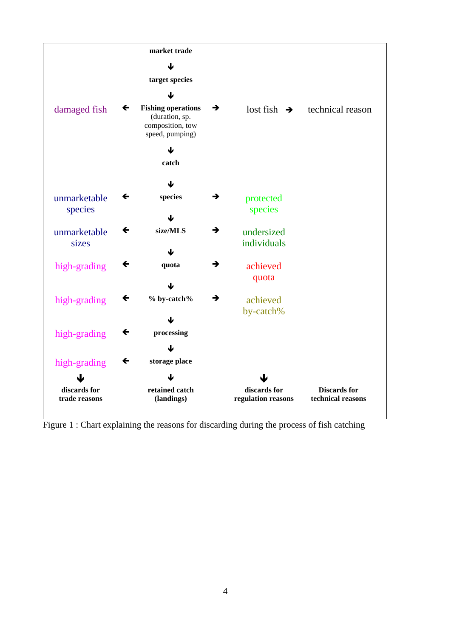

Figure 1 : Chart explaining the reasons for discarding during the process of fish catching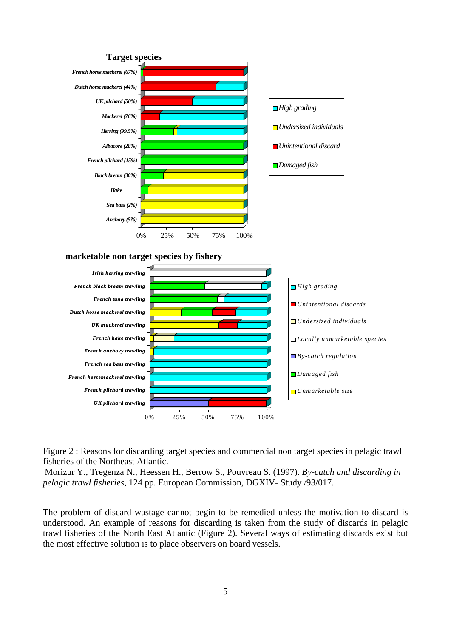



Morizur Y., Tregenza N., Heessen H., Berrow S., Pouvreau S. (1997). *By-catch and discarding in pelagic trawl fisheries,* 124 pp. European Commission, DGXIV- Study /93/017.

The problem of discard wastage cannot begin to be remedied unless the motivation to discard is understood. An example of reasons for discarding is taken from the study of discards in pelagic trawl fisheries of the North East Atlantic (Figure 2). Several ways of estimating discards exist but the most effective solution is to place observers on board vessels.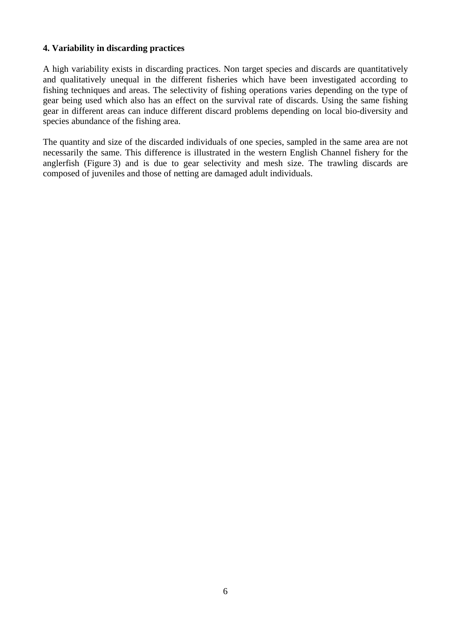#### **4. Variability in discarding practices**

A high variability exists in discarding practices. Non target species and discards are quantitatively and qualitatively unequal in the different fisheries which have been investigated according to fishing techniques and areas. The selectivity of fishing operations varies depending on the type of gear being used which also has an effect on the survival rate of discards. Using the same fishing gear in different areas can induce different discard problems depending on local bio-diversity and species abundance of the fishing area.

The quantity and size of the discarded individuals of one species, sampled in the same area are not necessarily the same. This difference is illustrated in the western English Channel fishery for the anglerfish (Figure 3) and is due to gear selectivity and mesh size. The trawling discards are composed of juveniles and those of netting are damaged adult individuals.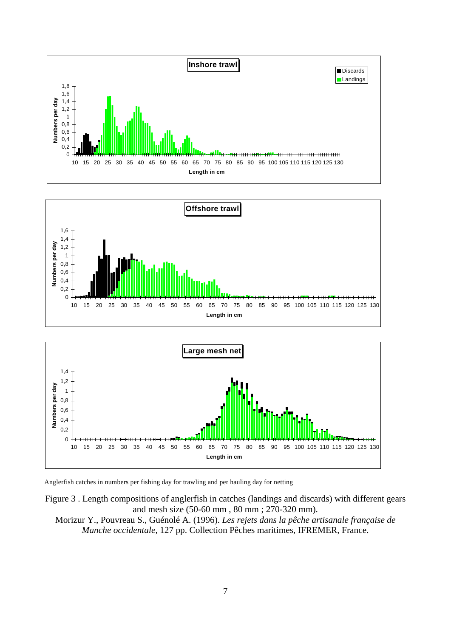





Anglerfish catches in numbers per fishing day for trawling and per hauling day for netting

Figure 3 . Length compositions of anglerfish in catches (landings and discards) with different gears and mesh size (50-60 mm , 80 mm ; 270-320 mm).

Morizur Y., Pouvreau S., Guénolé A. (1996). *Les rejets dans la pêche artisanale française de Manche occidentale*, 127 pp. Collection Pêches maritimes, IFREMER, France.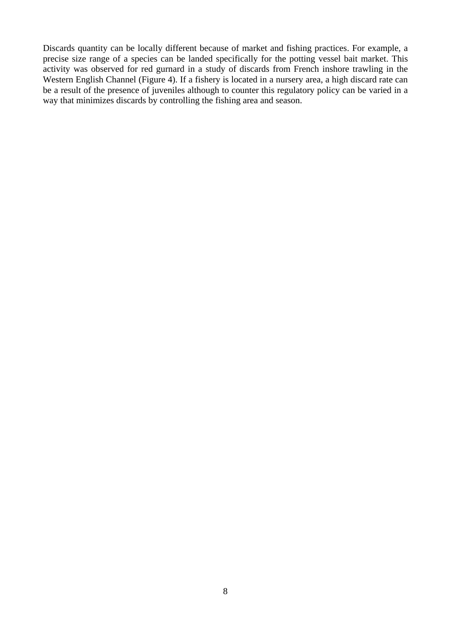Discards quantity can be locally different because of market and fishing practices. For example, a precise size range of a species can be landed specifically for the potting vessel bait market. This activity was observed for red gurnard in a study of discards from French inshore trawling in the Western English Channel (Figure 4). If a fishery is located in a nursery area, a high discard rate can be a result of the presence of juveniles although to counter this regulatory policy can be varied in a way that minimizes discards by controlling the fishing area and season.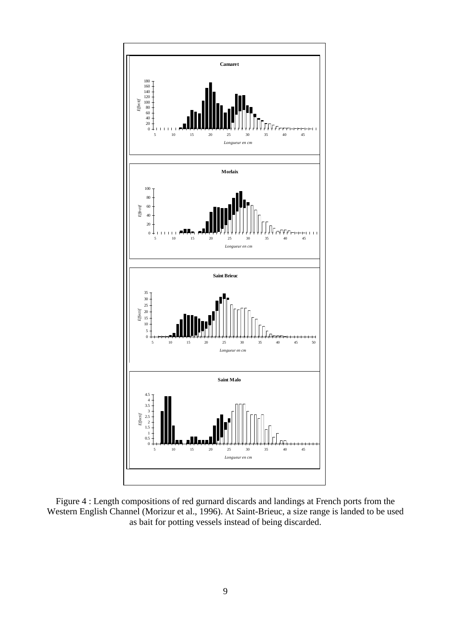

Figure 4 : Length compositions of red gurnard discards and landings at French ports from the Western English Channel (Morizur et al., 1996). At Saint-Brieuc, a size range is landed to be used as bait for potting vessels instead of being discarded.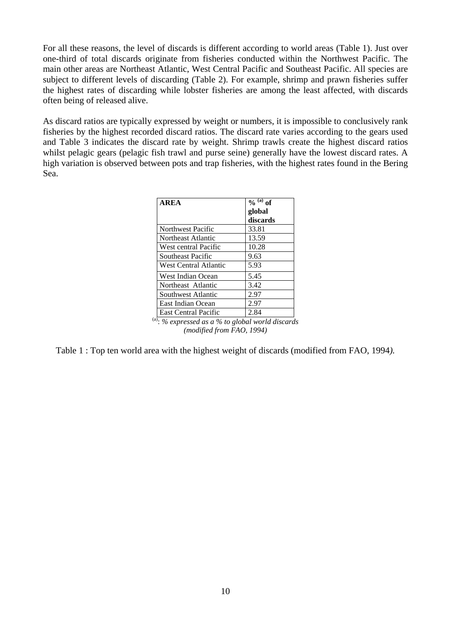For all these reasons, the level of discards is different according to world areas (Table 1). Just over one-third of total discards originate from fisheries conducted within the Northwest Pacific. The main other areas are Northeast Atlantic, West Central Pacific and Southeast Pacific. All species are subject to different levels of discarding (Table 2). For example, shrimp and prawn fisheries suffer the highest rates of discarding while lobster fisheries are among the least affected, with discards often being of released alive.

As discard ratios are typically expressed by weight or numbers, it is impossible to conclusively rank fisheries by the highest recorded discard ratios. The discard rate varies according to the gears used and Table 3 indicates the discard rate by weight. Shrimp trawls create the highest discard ratios whilst pelagic gears (pelagic fish trawl and purse seine) generally have the lowest discard rates. A high variation is observed between pots and trap fisheries, with the highest rates found in the Bering Sea.

| <b>AREA</b>                                                                                                                                                                   | $\bar{a}$ of |  |
|-------------------------------------------------------------------------------------------------------------------------------------------------------------------------------|--------------|--|
|                                                                                                                                                                               | global       |  |
|                                                                                                                                                                               | discards     |  |
| Northwest Pacific                                                                                                                                                             | 33.81        |  |
| Northeast Atlantic                                                                                                                                                            | 13.59        |  |
| West central Pacific                                                                                                                                                          | 10.28        |  |
| Southeast Pacific                                                                                                                                                             | 9.63         |  |
| West Central Atlantic                                                                                                                                                         | 5.93         |  |
| West Indian Ocean                                                                                                                                                             | 5.45         |  |
| Northeast Atlantic                                                                                                                                                            | 3.42         |  |
| Southwest Atlantic                                                                                                                                                            | 2.97         |  |
| East Indian Ocean                                                                                                                                                             | 2.97         |  |
| <b>East Central Pacific</b>                                                                                                                                                   | 2.84         |  |
| $\sqrt[{\scriptscriptstyle (a)}]{\cdot \!\! {\scriptscriptstyle >}}\!\!$ $\sqrt[{\scriptscriptstyle (b)}]{\scriptscriptstyle (c)}}$ expressed as a % to global world discards |              |  |
| (modified from FAO, 1994)                                                                                                                                                     |              |  |

Table 1 : Top ten world area with the highest weight of discards (modified from FAO, 1994*).*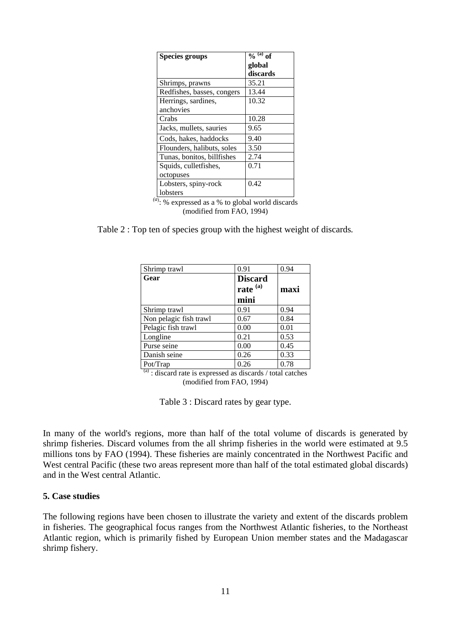| <b>Species groups</b>      | $\frac{6}{9}$ (a) of |
|----------------------------|----------------------|
|                            | global               |
|                            | discards             |
| Shrimps, prawns            | 35.21                |
| Redfishes, basses, congers | 13.44                |
| Herrings, sardines,        | 10.32                |
| anchovies                  |                      |
| Crabs                      | 10.28                |
| Jacks, mullets, sauries    | 9.65                 |
| Cods, hakes, haddocks      | 9.40                 |
| Flounders, halibuts, soles | 3.50                 |
| Tunas, bonitos, billfishes | 2.74                 |
| Squids, cullet fishes,     | 0.71                 |
| octopuses                  |                      |
| Lobsters, spiny-rock       | 0.42                 |
| lobsters                   |                      |

 $(a)$ : % expressed as a % to global world discards (modified from FAO, 1994)

Table 2 : Top ten of species group with the highest weight of discards*.* 

| Shrimp trawl           | 0.91                | 0.94 |
|------------------------|---------------------|------|
| Gear                   | <b>Discard</b>      |      |
|                        | rate <sup>(a)</sup> | maxi |
|                        | mini                |      |
| Shrimp trawl           | 0.91                | 0.94 |
| Non pelagic fish trawl | 0.67                | 0.84 |
| Pelagic fish trawl     | 0.00                | 0.01 |
| Longline               | 0.21                | 0.53 |
| Purse seine            | 0.00                | 0.45 |
| Danish seine           | 0.26                | 0.33 |
| Pot/Trap               | 0.26                | 0.78 |

 $\frac{a}{a}$ : discard rate is expressed as discards / total catches (modified from FAO, 1994)

Table 3 : Discard rates by gear type.

In many of the world's regions, more than half of the total volume of discards is generated by shrimp fisheries. Discard volumes from the all shrimp fisheries in the world were estimated at 9.5 millions tons by FAO (1994). These fisheries are mainly concentrated in the Northwest Pacific and West central Pacific (these two areas represent more than half of the total estimated global discards) and in the West central Atlantic.

#### **5. Case studies**

The following regions have been chosen to illustrate the variety and extent of the discards problem in fisheries. The geographical focus ranges from the Northwest Atlantic fisheries, to the Northeast Atlantic region, which is primarily fished by European Union member states and the Madagascar shrimp fishery.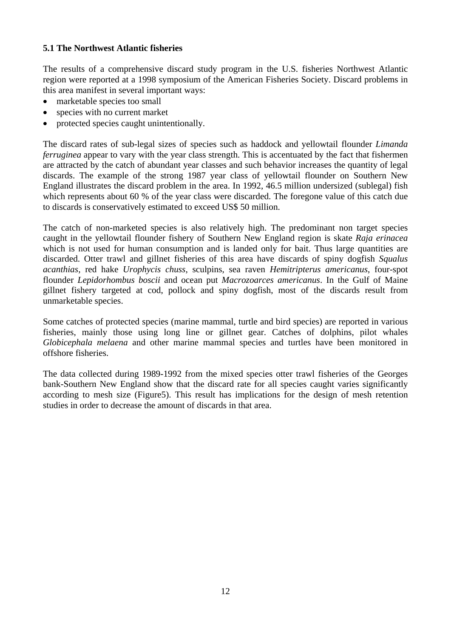#### **5.1 The Northwest Atlantic fisheries**

The results of a comprehensive discard study program in the U.S. fisheries Northwest Atlantic region were reported at a 1998 symposium of the American Fisheries Society. Discard problems in this area manifest in several important ways:

- marketable species too small
- species with no current market
- protected species caught unintentionally.

The discard rates of sub-legal sizes of species such as haddock and yellowtail flounder *Limanda ferruginea* appear to vary with the year class strength. This is accentuated by the fact that fishermen are attracted by the catch of abundant year classes and such behavior increases the quantity of legal discards. The example of the strong 1987 year class of yellowtail flounder on Southern New England illustrates the discard problem in the area. In 1992, 46.5 million undersized (sublegal) fish which represents about 60 % of the year class were discarded. The foregone value of this catch due to discards is conservatively estimated to exceed US\$ 50 million.

The catch of non-marketed species is also relatively high. The predominant non target species caught in the yellowtail flounder fishery of Southern New England region is skate *Raja erinacea* which is not used for human consumption and is landed only for bait. Thus large quantities are discarded. Otter trawl and gillnet fisheries of this area have discards of spiny dogfish *Squalus acanthias*, red hake *Urophycis chuss*, sculpins, sea raven *Hemitripterus americanus*, four-spot flounder *Lepidorhombus boscii* and ocean put *Macrozoarces americanus*. In the Gulf of Maine gillnet fishery targeted at cod, pollock and spiny dogfish, most of the discards result from unmarketable species.

Some catches of protected species (marine mammal, turtle and bird species) are reported in various fisheries, mainly those using long line or gillnet gear. Catches of dolphins, pilot whales *Globicephala melaena* and other marine mammal species and turtles have been monitored in offshore fisheries.

The data collected during 1989-1992 from the mixed species otter trawl fisheries of the Georges bank-Southern New England show that the discard rate for all species caught varies significantly according to mesh size (Figure5). This result has implications for the design of mesh retention studies in order to decrease the amount of discards in that area.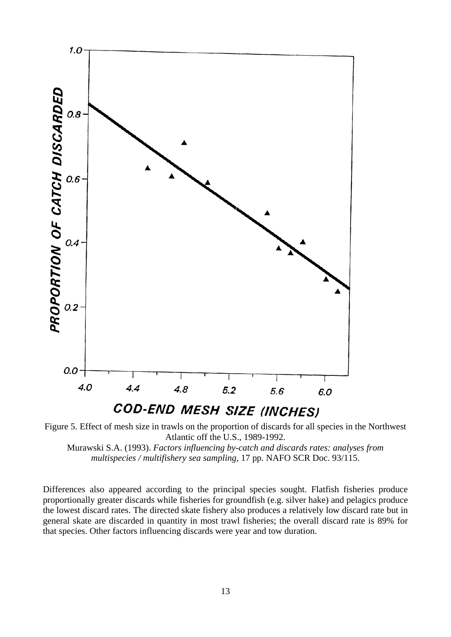

Figure 5. Effect of mesh size in trawls on the proportion of discards for all species in the Northwest Atlantic off the U.S., 1989-1992. Murawski S.A. (1993). *Factors influencing by-catch and discards rates: analyses from* 

*multispecies / multifishery sea sampling,* 17 pp. NAFO SCR Doc. 93/115.

Differences also appeared according to the principal species sought. Flatfish fisheries produce proportionally greater discards while fisheries for groundfish (e.g. silver hake) and pelagics produce the lowest discard rates. The directed skate fishery also produces a relatively low discard rate but in general skate are discarded in quantity in most trawl fisheries; the overall discard rate is 89% for that species. Other factors influencing discards were year and tow duration.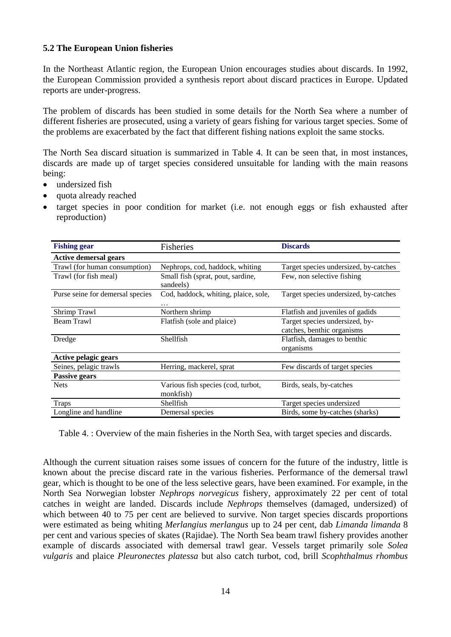#### **5.2 The European Union fisheries**

In the Northeast Atlantic region, the European Union encourages studies about discards. In 1992, the European Commission provided a synthesis report about discard practices in Europe. Updated reports are under-progress.

The problem of discards has been studied in some details for the North Sea where a number of different fisheries are prosecuted, using a variety of gears fishing for various target species. Some of the problems are exacerbated by the fact that different fishing nations exploit the same stocks.

The North Sea discard situation is summarized in Table 4. It can be seen that, in most instances, discards are made up of target species considered unsuitable for landing with the main reasons being:

- undersized fish
- quota already reached
- target species in poor condition for market (i.e. not enough eggs or fish exhausted after reproduction)

| <b>Fishing gear</b>              | Fisheries                                       | <b>Discards</b>                                              |
|----------------------------------|-------------------------------------------------|--------------------------------------------------------------|
| <b>Active demersal gears</b>     |                                                 |                                                              |
| Trawl (for human consumption)    | Nephrops, cod, haddock, whiting                 | Target species undersized, by-catches                        |
| Trawl (for fish meal)            | Small fish (sprat, pout, sardine,<br>sandeels)  | Few, non selective fishing                                   |
| Purse seine for demersal species | Cod, haddock, whiting, plaice, sole,<br>.       | Target species undersized, by-catches                        |
| Shrimp Trawl                     | Northern shrimp                                 | Flatfish and juveniles of gadids                             |
| Beam Trawl                       | Flatfish (sole and plaice)                      | Target species undersized, by-<br>catches, benthic organisms |
| Dredge                           | Shellfish                                       | Flatfish, damages to benthic<br>organisms                    |
| Active pelagic gears             |                                                 |                                                              |
| Seines, pelagic trawls           | Herring, mackerel, sprat                        | Few discards of target species                               |
| Passive gears                    |                                                 |                                                              |
| <b>Nets</b>                      | Various fish species (cod, turbot,<br>monkfish) | Birds, seals, by-catches                                     |
| <b>Traps</b>                     | Shellfish                                       | Target species undersized                                    |
| Longline and handline            | Demersal species                                | Birds, some by-catches (sharks)                              |

Table 4. : Overview of the main fisheries in the North Sea, with target species and discards.

Although the current situation raises some issues of concern for the future of the industry, little is known about the precise discard rate in the various fisheries. Performance of the demersal trawl gear, which is thought to be one of the less selective gears, have been examined. For example, in the North Sea Norwegian lobster *Nephrops norvegicus* fishery, approximately 22 per cent of total catches in weight are landed. Discards include *Nephrops* themselves (damaged, undersized) of which between 40 to 75 per cent are believed to survive. Non target species discards proportions were estimated as being whiting *Merlangius merlangus* up to 24 per cent, dab *Limanda limanda* 8 per cent and various species of skates (Rajidae). The North Sea beam trawl fishery provides another example of discards associated with demersal trawl gear. Vessels target primarily sole *Solea vulgaris* and plaice *Pleuronectes platessa* but also catch turbot, cod, brill *Scophthalmus rhombus*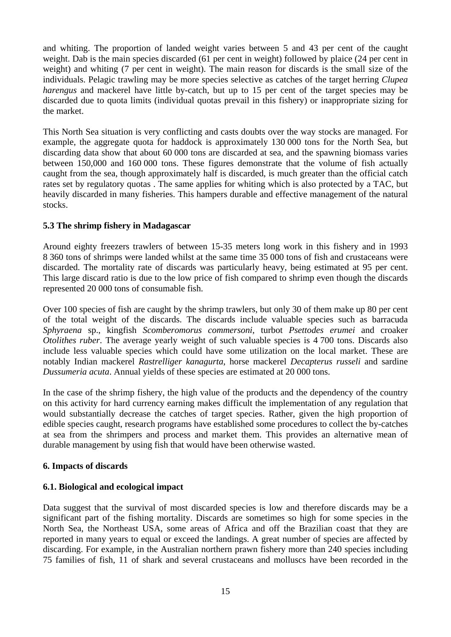and whiting. The proportion of landed weight varies between 5 and 43 per cent of the caught weight. Dab is the main species discarded (61 per cent in weight) followed by plaice (24 per cent in weight) and whiting (7 per cent in weight). The main reason for discards is the small size of the individuals. Pelagic trawling may be more species selective as catches of the target herring *Clupea harengus* and mackerel have little by-catch, but up to 15 per cent of the target species may be discarded due to quota limits (individual quotas prevail in this fishery) or inappropriate sizing for the market.

This North Sea situation is very conflicting and casts doubts over the way stocks are managed. For example, the aggregate quota for haddock is approximately 130 000 tons for the North Sea, but discarding data show that about 60 000 tons are discarded at sea, and the spawning biomass varies between 150,000 and 160 000 tons. These figures demonstrate that the volume of fish actually caught from the sea, though approximately half is discarded, is much greater than the official catch rates set by regulatory quotas . The same applies for whiting which is also protected by a TAC, but heavily discarded in many fisheries. This hampers durable and effective management of the natural stocks.

## **5.3 The shrimp fishery in Madagascar**

Around eighty freezers trawlers of between 15-35 meters long work in this fishery and in 1993 8 360 tons of shrimps were landed whilst at the same time 35 000 tons of fish and crustaceans were discarded. The mortality rate of discards was particularly heavy, being estimated at 95 per cent. This large discard ratio is due to the low price of fish compared to shrimp even though the discards represented 20 000 tons of consumable fish.

Over 100 species of fish are caught by the shrimp trawlers, but only 30 of them make up 80 per cent of the total weight of the discards. The discards include valuable species such as barracuda *Sphyraena* sp., kingfish *Scomberomorus commersoni*, turbot *Psettodes erumei* and croaker *Otolithes ruber*. The average yearly weight of such valuable species is 4 700 tons. Discards also include less valuable species which could have some utilization on the local market. These are notably Indian mackerel *Rastrelliger kanagurta*, horse mackerel *Decapterus russeli* and sardine *Dussumeria acuta*. Annual yields of these species are estimated at 20 000 tons.

In the case of the shrimp fishery, the high value of the products and the dependency of the country on this activity for hard currency earning makes difficult the implementation of any regulation that would substantially decrease the catches of target species. Rather, given the high proportion of edible species caught, research programs have established some procedures to collect the by-catches at sea from the shrimpers and process and market them. This provides an alternative mean of durable management by using fish that would have been otherwise wasted.

#### **6. Impacts of discards**

## **6.1. Biological and ecological impact**

Data suggest that the survival of most discarded species is low and therefore discards may be a significant part of the fishing mortality. Discards are sometimes so high for some species in the North Sea, the Northeast USA, some areas of Africa and off the Brazilian coast that they are reported in many years to equal or exceed the landings. A great number of species are affected by discarding. For example, in the Australian northern prawn fishery more than 240 species including 75 families of fish, 11 of shark and several crustaceans and molluscs have been recorded in the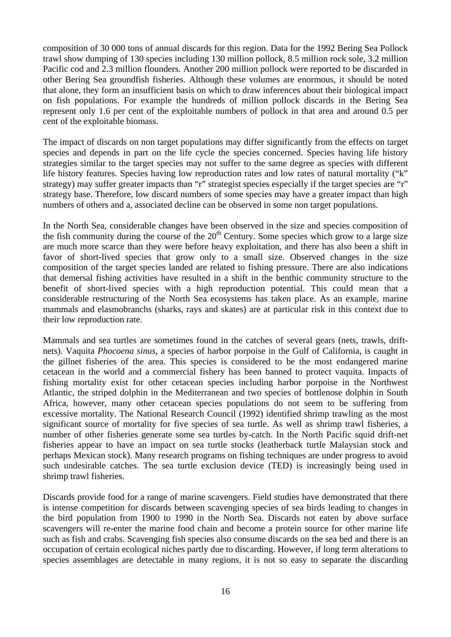composition of 30 000 tons of annual discards for this region. Data for the 1992 Bering Sea Pollock trawl show dumping of 130 species including 130 million pollock, 8.5 million rock sole, 3.2 million Pacific cod and 2.3 million flounders. Another 200 million pollock were reported to be discarded in other Bering Sea groundfish fisheries. Although these volumes are enormous, it should be noted that alone, they form an insufficient basis on which to draw inferences about their biological impact on fish populations. For example the hundreds of million pollock discards in the Bering Sea represent only 1.6 per cent of the exploitable numbers of pollock in that area and around 0.5 per cent of the exploitable biomass.

The impact of discards on non target populations may differ significantly from the effects on target species and depends in part on the life cycle the species concerned. Species having life history strategies similar to the target species may not suffer to the same degree as species with different life history features. Species having low reproduction rates and low rates of natural mortality ("k" strategy) may suffer greater impacts than "r" strategist species especially if the target species are "r" strategy base. Therefore, low discard numbers of some species may have a greater impact than high numbers of others and a, associated decline can be observed in some non target populations.

In the North Sea, considerable changes have been observed in the size and species composition of the fish community during the course of the  $20<sup>th</sup>$  Century. Some species which grow to a large size are much more scarce than they were before heavy exploitation, and there has also been a shift in favor of short-lived species that grow only to a small size. Observed changes in the size composition of the target species landed are related to fishing pressure. There are also indications that demersal fishing activities have resulted in a shift in the benthic community structure to the benefit of short-lived species with a high reproduction potential. This could mean that a considerable restructuring of the North Sea ecosystems has taken place. As an example, marine mammals and elasmobranchs (sharks, rays and skates) are at particular risk in this context due to their low reproduction rate.

Mammals and sea turtles are sometimes found in the catches of several gears (nets, trawls, driftnets). Vaquita *Phocoena sinus*, a species of harbor porpoise in the Gulf of California, is caught in the gillnet fisheries of the area. This species is considered to be the most endangered marine cetacean in the world and a commercial fishery has been banned to protect vaquita. Impacts of fishing mortality exist for other cetacean species including harbor porpoise in the Northwest Atlantic, the striped dolphin in the Mediterranean and two species of bottlenose dolphin in South Africa, however, many other cetacean species populations do not seem to be suffering from excessive mortality. The National Research Council (1992) identified shrimp trawling as the most significant source of mortality for five species of sea turtle. As well as shrimp trawl fisheries, a number of other fisheries generate some sea turtles by-catch. In the North Pacific squid drift-net fisheries appear to have an impact on sea turtle stocks (leatherback turtle Malaysian stock and perhaps Mexican stock). Many research programs on fishing techniques are under progress to avoid such undesirable catches. The sea turtle exclusion device (TED) is increasingly being used in shrimp trawl fisheries.

Discards provide food for a range of marine scavengers. Field studies have demonstrated that there is intense competition for discards between scavenging species of sea birds leading to changes in the bird population from 1900 to 1990 in the North Sea. Discards not eaten by above surface scavengers will re-enter the marine food chain and become a protein source for other marine life such as fish and crabs. Scavenging fish species also consume discards on the sea bed and there is an occupation of certain ecological niches partly due to discarding. However, if long term alterations to species assemblages are detectable in many regions, it is not so easy to separate the discarding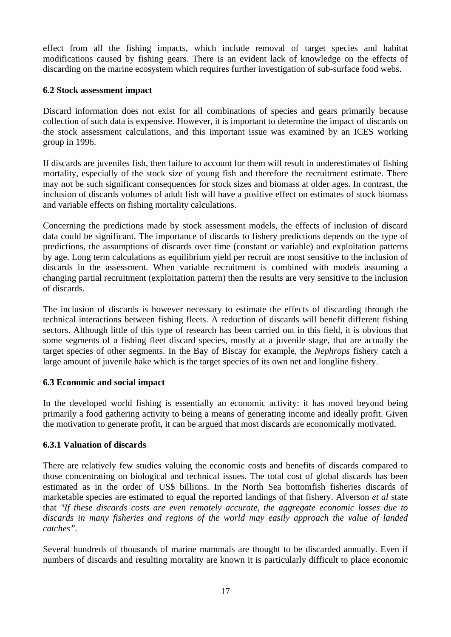effect from all the fishing impacts, which include removal of target species and habitat modifications caused by fishing gears. There is an evident lack of knowledge on the effects of discarding on the marine ecosystem which requires further investigation of sub-surface food webs.

#### **6.2 Stock assessment impact**

Discard information does not exist for all combinations of species and gears primarily because collection of such data is expensive. However, it is important to determine the impact of discards on the stock assessment calculations, and this important issue was examined by an ICES working group in 1996.

If discards are juveniles fish, then failure to account for them will result in underestimates of fishing mortality, especially of the stock size of young fish and therefore the recruitment estimate. There may not be such significant consequences for stock sizes and biomass at older ages. In contrast, the inclusion of discards volumes of adult fish will have a positive effect on estimates of stock biomass and variable effects on fishing mortality calculations.

Concerning the predictions made by stock assessment models, the effects of inclusion of discard data could be significant. The importance of discards to fishery predictions depends on the type of predictions, the assumptions of discards over time (constant or variable) and exploitation patterns by age. Long term calculations as equilibrium yield per recruit are most sensitive to the inclusion of discards in the assessment. When variable recruitment is combined with models assuming a changing partial recruitment (exploitation pattern) then the results are very sensitive to the inclusion of discards.

The inclusion of discards is however necessary to estimate the effects of discarding through the technical interactions between fishing fleets. A reduction of discards will benefit different fishing sectors. Although little of this type of research has been carried out in this field, it is obvious that some segments of a fishing fleet discard species, mostly at a juvenile stage, that are actually the target species of other segments. In the Bay of Biscay for example, the *Nephrops* fishery catch a large amount of juvenile hake which is the target species of its own net and longline fishery.

## **6.3 Economic and social impact**

In the developed world fishing is essentially an economic activity: it has moved beyond being primarily a food gathering activity to being a means of generating income and ideally profit. Given the motivation to generate profit, it can be argued that most discards are economically motivated.

## **6.3.1 Valuation of discards**

There are relatively few studies valuing the economic costs and benefits of discards compared to those concentrating on biological and technical issues. The total cost of global discards has been estimated as in the order of US\$ billions. In the North Sea bottomfish fisheries discards of marketable species are estimated to equal the reported landings of that fishery. Alverson *et al* state that *"If these discards costs are even remotely accurate, the aggregate economic losses due to discards in many fisheries and regions of the world may easily approach the value of landed catches".*

Several hundreds of thousands of marine mammals are thought to be discarded annually. Even if numbers of discards and resulting mortality are known it is particularly difficult to place economic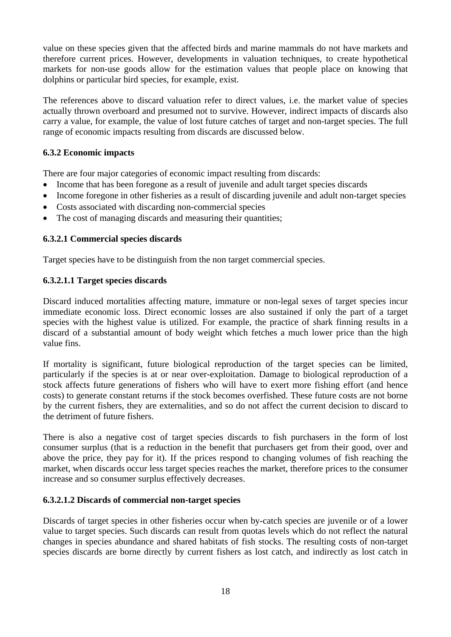value on these species given that the affected birds and marine mammals do not have markets and therefore current prices. However, developments in valuation techniques, to create hypothetical markets for non-use goods allow for the estimation values that people place on knowing that dolphins or particular bird species, for example, exist.

The references above to discard valuation refer to direct values, i.e. the market value of species actually thrown overboard and presumed not to survive. However, indirect impacts of discards also carry a value, for example, the value of lost future catches of target and non-target species. The full range of economic impacts resulting from discards are discussed below.

## **6.3.2 Economic impacts**

There are four major categories of economic impact resulting from discards:

- Income that has been foregone as a result of juvenile and adult target species discards
- Income foregone in other fisheries as a result of discarding juvenile and adult non-target species
- Costs associated with discarding non-commercial species
- The cost of managing discards and measuring their quantities;

## **6.3.2.1 Commercial species discards**

Target species have to be distinguish from the non target commercial species.

## **6.3.2.1.1 Target species discards**

Discard induced mortalities affecting mature, immature or non-legal sexes of target species incur immediate economic loss. Direct economic losses are also sustained if only the part of a target species with the highest value is utilized. For example, the practice of shark finning results in a discard of a substantial amount of body weight which fetches a much lower price than the high value fins.

If mortality is significant, future biological reproduction of the target species can be limited, particularly if the species is at or near over-exploitation. Damage to biological reproduction of a stock affects future generations of fishers who will have to exert more fishing effort (and hence costs) to generate constant returns if the stock becomes overfished. These future costs are not borne by the current fishers, they are externalities, and so do not affect the current decision to discard to the detriment of future fishers.

There is also a negative cost of target species discards to fish purchasers in the form of lost consumer surplus (that is a reduction in the benefit that purchasers get from their good, over and above the price, they pay for it). If the prices respond to changing volumes of fish reaching the market, when discards occur less target species reaches the market, therefore prices to the consumer increase and so consumer surplus effectively decreases.

## **6.3.2.1.2 Discards of commercial non-target species**

Discards of target species in other fisheries occur when by-catch species are juvenile or of a lower value to target species. Such discards can result from quotas levels which do not reflect the natural changes in species abundance and shared habitats of fish stocks. The resulting costs of non-target species discards are borne directly by current fishers as lost catch, and indirectly as lost catch in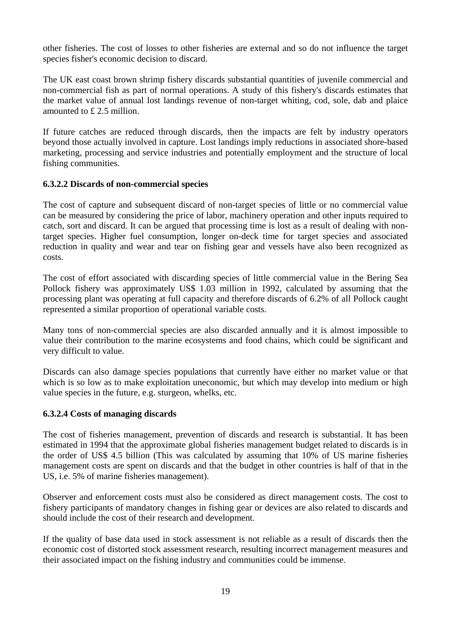other fisheries. The cost of losses to other fisheries are external and so do not influence the target species fisher's economic decision to discard.

The UK east coast brown shrimp fishery discards substantial quantities of juvenile commercial and non-commercial fish as part of normal operations. A study of this fishery's discards estimates that the market value of annual lost landings revenue of non-target whiting, cod, sole, dab and plaice amounted to £ 2.5 million.

If future catches are reduced through discards, then the impacts are felt by industry operators beyond those actually involved in capture. Lost landings imply reductions in associated shore-based marketing, processing and service industries and potentially employment and the structure of local fishing communities.

## **6.3.2.2 Discards of non-commercial species**

The cost of capture and subsequent discard of non-target species of little or no commercial value can be measured by considering the price of labor, machinery operation and other inputs required to catch, sort and discard. It can be argued that processing time is lost as a result of dealing with nontarget species. Higher fuel consumption, longer on-deck time for target species and associated reduction in quality and wear and tear on fishing gear and vessels have also been recognized as costs.

The cost of effort associated with discarding species of little commercial value in the Bering Sea Pollock fishery was approximately US\$ 1.03 million in 1992, calculated by assuming that the processing plant was operating at full capacity and therefore discards of 6.2% of all Pollock caught represented a similar proportion of operational variable costs.

Many tons of non-commercial species are also discarded annually and it is almost impossible to value their contribution to the marine ecosystems and food chains, which could be significant and very difficult to value.

Discards can also damage species populations that currently have either no market value or that which is so low as to make exploitation uneconomic, but which may develop into medium or high value species in the future, e.g. sturgeon, whelks, etc.

# **6.3.2.4 Costs of managing discards**

The cost of fisheries management, prevention of discards and research is substantial. It has been estimated in 1994 that the approximate global fisheries management budget related to discards is in the order of US\$ 4.5 billion (This was calculated by assuming that 10% of US marine fisheries management costs are spent on discards and that the budget in other countries is half of that in the US, i.e. 5% of marine fisheries management).

Observer and enforcement costs must also be considered as direct management costs. The cost to fishery participants of mandatory changes in fishing gear or devices are also related to discards and should include the cost of their research and development.

If the quality of base data used in stock assessment is not reliable as a result of discards then the economic cost of distorted stock assessment research, resulting incorrect management measures and their associated impact on the fishing industry and communities could be immense.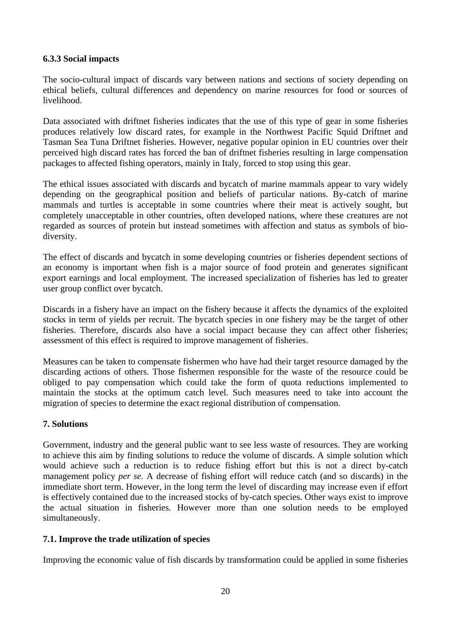#### **6.3.3 Social impacts**

The socio-cultural impact of discards vary between nations and sections of society depending on ethical beliefs, cultural differences and dependency on marine resources for food or sources of livelihood.

Data associated with driftnet fisheries indicates that the use of this type of gear in some fisheries produces relatively low discard rates, for example in the Northwest Pacific Squid Driftnet and Tasman Sea Tuna Driftnet fisheries. However, negative popular opinion in EU countries over their perceived high discard rates has forced the ban of driftnet fisheries resulting in large compensation packages to affected fishing operators, mainly in Italy, forced to stop using this gear.

The ethical issues associated with discards and bycatch of marine mammals appear to vary widely depending on the geographical position and beliefs of particular nations. By-catch of marine mammals and turtles is acceptable in some countries where their meat is actively sought, but completely unacceptable in other countries, often developed nations, where these creatures are not regarded as sources of protein but instead sometimes with affection and status as symbols of biodiversity.

The effect of discards and bycatch in some developing countries or fisheries dependent sections of an economy is important when fish is a major source of food protein and generates significant export earnings and local employment. The increased specialization of fisheries has led to greater user group conflict over bycatch.

Discards in a fishery have an impact on the fishery because it affects the dynamics of the exploited stocks in term of yields per recruit. The bycatch species in one fishery may be the target of other fisheries. Therefore, discards also have a social impact because they can affect other fisheries; assessment of this effect is required to improve management of fisheries.

Measures can be taken to compensate fishermen who have had their target resource damaged by the discarding actions of others. Those fishermen responsible for the waste of the resource could be obliged to pay compensation which could take the form of quota reductions implemented to maintain the stocks at the optimum catch level. Such measures need to take into account the migration of species to determine the exact regional distribution of compensation.

## **7. Solutions**

Government, industry and the general public want to see less waste of resources. They are working to achieve this aim by finding solutions to reduce the volume of discards. A simple solution which would achieve such a reduction is to reduce fishing effort but this is not a direct by-catch management policy *per se*. A decrease of fishing effort will reduce catch (and so discards) in the immediate short term. However, in the long term the level of discarding may increase even if effort is effectively contained due to the increased stocks of by-catch species. Other ways exist to improve the actual situation in fisheries. However more than one solution needs to be employed simultaneously.

## **7.1. Improve the trade utilization of species**

Improving the economic value of fish discards by transformation could be applied in some fisheries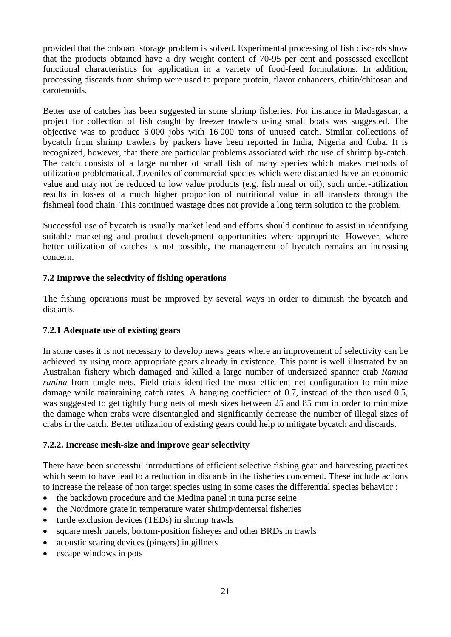provided that the onboard storage problem is solved. Experimental processing of fish discards show that the products obtained have a dry weight content of 70-95 per cent and possessed excellent functional characteristics for application in a variety of food-feed formulations. In addition, processing discards from shrimp were used to prepare protein, flavor enhancers, chitin/chitosan and carotenoids.

Better use of catches has been suggested in some shrimp fisheries. For instance in Madagascar, a project for collection of fish caught by freezer trawlers using small boats was suggested. The objective was to produce 6 000 jobs with 16 000 tons of unused catch. Similar collections of bycatch from shrimp trawlers by packers have been reported in India, Nigeria and Cuba. It is recognized, however, that there are particular problems associated with the use of shrimp by-catch. The catch consists of a large number of small fish of many species which makes methods of utilization problematical. Juveniles of commercial species which were discarded have an economic value and may not be reduced to low value products (e.g. fish meal or oil); such under-utilization results in losses of a much higher proportion of nutritional value in all transfers through the fishmeal food chain. This continued wastage does not provide a long term solution to the problem.

Successful use of bycatch is usually market lead and efforts should continue to assist in identifying suitable marketing and product development opportunities where appropriate. However, where better utilization of catches is not possible, the management of bycatch remains an increasing concern.

## **7.2 Improve the selectivity of fishing operations**

The fishing operations must be improved by several ways in order to diminish the bycatch and discards.

## **7.2.1 Adequate use of existing gears**

In some cases it is not necessary to develop news gears where an improvement of selectivity can be achieved by using more appropriate gears already in existence. This point is well illustrated by an Australian fishery which damaged and killed a large number of undersized spanner crab *Ranina ranina* from tangle nets. Field trials identified the most efficient net configuration to minimize damage while maintaining catch rates. A hanging coefficient of 0.7, instead of the then used 0.5, was suggested to get tightly hung nets of mesh sizes between 25 and 85 mm in order to minimize the damage when crabs were disentangled and significantly decrease the number of illegal sizes of crabs in the catch. Better utilization of existing gears could help to mitigate bycatch and discards.

## **7.2.2. Increase mesh-size and improve gear selectivity**

There have been successful introductions of efficient selective fishing gear and harvesting practices which seem to have lead to a reduction in discards in the fisheries concerned. These include actions to increase the release of non target species using in some cases the differential species behavior :

- the backdown procedure and the Medina panel in tuna purse seine
- the Nordmore grate in temperature water shrimp/demersal fisheries
- turtle exclusion devices (TEDs) in shrimp trawls
- square mesh panels, bottom-position fisheyes and other BRDs in trawls
- acoustic scaring devices (pingers) in gillnets
- escape windows in pots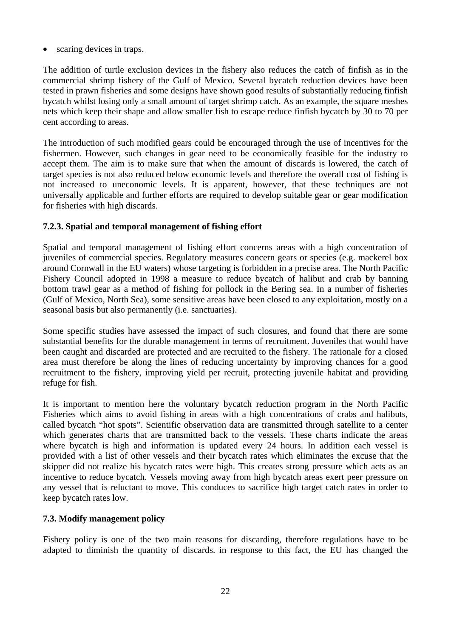scaring devices in traps.

The addition of turtle exclusion devices in the fishery also reduces the catch of finfish as in the commercial shrimp fishery of the Gulf of Mexico. Several bycatch reduction devices have been tested in prawn fisheries and some designs have shown good results of substantially reducing finfish bycatch whilst losing only a small amount of target shrimp catch. As an example, the square meshes nets which keep their shape and allow smaller fish to escape reduce finfish bycatch by 30 to 70 per cent according to areas.

The introduction of such modified gears could be encouraged through the use of incentives for the fishermen. However, such changes in gear need to be economically feasible for the industry to accept them. The aim is to make sure that when the amount of discards is lowered, the catch of target species is not also reduced below economic levels and therefore the overall cost of fishing is not increased to uneconomic levels. It is apparent, however, that these techniques are not universally applicable and further efforts are required to develop suitable gear or gear modification for fisheries with high discards.

## **7.2.3. Spatial and temporal management of fishing effort**

Spatial and temporal management of fishing effort concerns areas with a high concentration of juveniles of commercial species. Regulatory measures concern gears or species (e.g. mackerel box around Cornwall in the EU waters) whose targeting is forbidden in a precise area. The North Pacific Fishery Council adopted in 1998 a measure to reduce bycatch of halibut and crab by banning bottom trawl gear as a method of fishing for pollock in the Bering sea. In a number of fisheries (Gulf of Mexico, North Sea), some sensitive areas have been closed to any exploitation, mostly on a seasonal basis but also permanently (i.e. sanctuaries).

Some specific studies have assessed the impact of such closures, and found that there are some substantial benefits for the durable management in terms of recruitment. Juveniles that would have been caught and discarded are protected and are recruited to the fishery. The rationale for a closed area must therefore be along the lines of reducing uncertainty by improving chances for a good recruitment to the fishery, improving yield per recruit, protecting juvenile habitat and providing refuge for fish.

It is important to mention here the voluntary bycatch reduction program in the North Pacific Fisheries which aims to avoid fishing in areas with a high concentrations of crabs and halibuts, called bycatch "hot spots". Scientific observation data are transmitted through satellite to a center which generates charts that are transmitted back to the vessels. These charts indicate the areas where bycatch is high and information is updated every 24 hours. In addition each vessel is provided with a list of other vessels and their bycatch rates which eliminates the excuse that the skipper did not realize his bycatch rates were high. This creates strong pressure which acts as an incentive to reduce bycatch. Vessels moving away from high bycatch areas exert peer pressure on any vessel that is reluctant to move. This conduces to sacrifice high target catch rates in order to keep bycatch rates low.

## **7.3. Modify management policy**

Fishery policy is one of the two main reasons for discarding, therefore regulations have to be adapted to diminish the quantity of discards. in response to this fact, the EU has changed the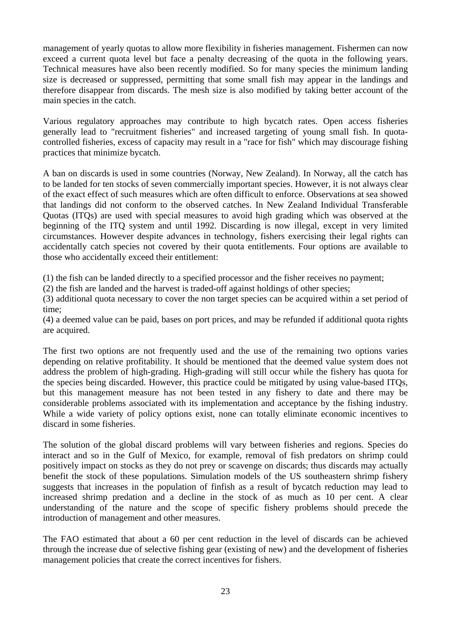management of yearly quotas to allow more flexibility in fisheries management. Fishermen can now exceed a current quota level but face a penalty decreasing of the quota in the following years. Technical measures have also been recently modified. So for many species the minimum landing size is decreased or suppressed, permitting that some small fish may appear in the landings and therefore disappear from discards. The mesh size is also modified by taking better account of the main species in the catch.

Various regulatory approaches may contribute to high bycatch rates. Open access fisheries generally lead to "recruitment fisheries" and increased targeting of young small fish. In quotacontrolled fisheries, excess of capacity may result in a "race for fish" which may discourage fishing practices that minimize bycatch.

A ban on discards is used in some countries (Norway, New Zealand). In Norway, all the catch has to be landed for ten stocks of seven commercially important species. However, it is not always clear of the exact effect of such measures which are often difficult to enforce. Observations at sea showed that landings did not conform to the observed catches. In New Zealand Individual Transferable Quotas (ITQs) are used with special measures to avoid high grading which was observed at the beginning of the ITQ system and until 1992. Discarding is now illegal, except in very limited circumstances. However despite advances in technology, fishers exercising their legal rights can accidentally catch species not covered by their quota entitlements. Four options are available to those who accidentally exceed their entitlement:

(1) the fish can be landed directly to a specified processor and the fisher receives no payment;

(2) the fish are landed and the harvest is traded-off against holdings of other species;

(3) additional quota necessary to cover the non target species can be acquired within a set period of time;

(4) a deemed value can be paid, bases on port prices, and may be refunded if additional quota rights are acquired.

The first two options are not frequently used and the use of the remaining two options varies depending on relative profitability. It should be mentioned that the deemed value system does not address the problem of high-grading. High-grading will still occur while the fishery has quota for the species being discarded. However, this practice could be mitigated by using value-based ITQs, but this management measure has not been tested in any fishery to date and there may be considerable problems associated with its implementation and acceptance by the fishing industry. While a wide variety of policy options exist, none can totally eliminate economic incentives to discard in some fisheries.

The solution of the global discard problems will vary between fisheries and regions. Species do interact and so in the Gulf of Mexico, for example, removal of fish predators on shrimp could positively impact on stocks as they do not prey or scavenge on discards; thus discards may actually benefit the stock of these populations. Simulation models of the US southeastern shrimp fishery suggests that increases in the population of finfish as a result of bycatch reduction may lead to increased shrimp predation and a decline in the stock of as much as 10 per cent. A clear understanding of the nature and the scope of specific fishery problems should precede the introduction of management and other measures.

The FAO estimated that about a 60 per cent reduction in the level of discards can be achieved through the increase due of selective fishing gear (existing of new) and the development of fisheries management policies that create the correct incentives for fishers.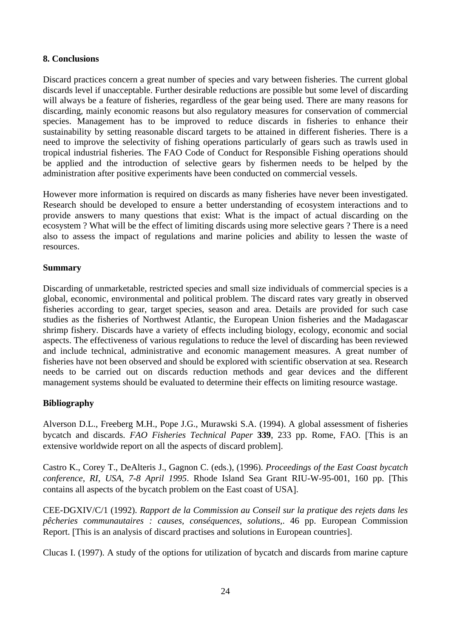#### **8. Conclusions**

Discard practices concern a great number of species and vary between fisheries. The current global discards level if unacceptable. Further desirable reductions are possible but some level of discarding will always be a feature of fisheries, regardless of the gear being used. There are many reasons for discarding, mainly economic reasons but also regulatory measures for conservation of commercial species. Management has to be improved to reduce discards in fisheries to enhance their sustainability by setting reasonable discard targets to be attained in different fisheries. There is a need to improve the selectivity of fishing operations particularly of gears such as trawls used in tropical industrial fisheries. The FAO Code of Conduct for Responsible Fishing operations should be applied and the introduction of selective gears by fishermen needs to be helped by the administration after positive experiments have been conducted on commercial vessels.

However more information is required on discards as many fisheries have never been investigated. Research should be developed to ensure a better understanding of ecosystem interactions and to provide answers to many questions that exist: What is the impact of actual discarding on the ecosystem ? What will be the effect of limiting discards using more selective gears ? There is a need also to assess the impact of regulations and marine policies and ability to lessen the waste of resources.

#### **Summary**

Discarding of unmarketable, restricted species and small size individuals of commercial species is a global, economic, environmental and political problem. The discard rates vary greatly in observed fisheries according to gear, target species, season and area. Details are provided for such case studies as the fisheries of Northwest Atlantic, the European Union fisheries and the Madagascar shrimp fishery. Discards have a variety of effects including biology, ecology, economic and social aspects. The effectiveness of various regulations to reduce the level of discarding has been reviewed and include technical, administrative and economic management measures. A great number of fisheries have not been observed and should be explored with scientific observation at sea. Research needs to be carried out on discards reduction methods and gear devices and the different management systems should be evaluated to determine their effects on limiting resource wastage.

## **Bibliography**

Alverson D.L., Freeberg M.H., Pope J.G., Murawski S.A. (1994). A global assessment of fisheries bycatch and discards. *FAO Fisheries Technical Paper* **339**, 233 pp. Rome, FAO. [This is an extensive worldwide report on all the aspects of discard problem].

Castro K., Corey T., DeAlteris J., Gagnon C. (eds.), (1996). *Proceedings of the East Coast bycatch conference, RI, USA, 7-8 April 1995*. Rhode Island Sea Grant RIU-W-95-001, 160 pp. [This contains all aspects of the bycatch problem on the East coast of USA].

CEE-DGXIV/C/1 (1992). *Rapport de la Commission au Conseil sur la pratique des rejets dans les pêcheries communautaires : causes, conséquences, solutions,*. 46 pp. European Commission Report. [This is an analysis of discard practises and solutions in European countries].

Clucas I. (1997). A study of the options for utilization of bycatch and discards from marine capture